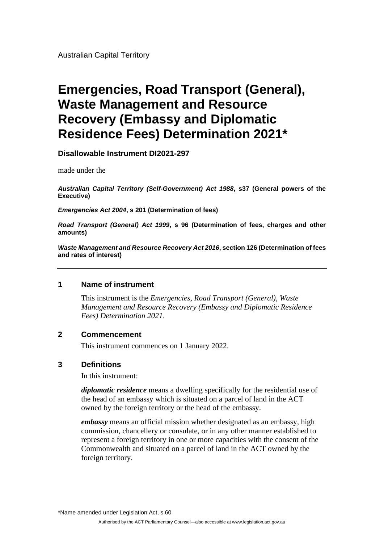Australian Capital Territory

# **Emergencies, Road Transport (General), Waste Management and Resource Recovery (Embassy and Diplomatic Residence Fees) Determination 2021\***

**Disallowable Instrument DI2021-297**

made under the

*Australian Capital Territory (Self-Government) Act 1988***, s37 (General powers of the Executive)**

*Emergencies Act 2004***, s 201 (Determination of fees)**

*Road Transport (General) Act 1999***, s 96 (Determination of fees, charges and other amounts)**

*Waste Management and Resource Recovery Act 2016***, section 126 (Determination of fees and rates of interest)**

#### **1 Name of instrument**

This instrument is the *Emergencies, Road Transport (General), Waste Management and Resource Recovery (Embassy and Diplomatic Residence Fees) Determination 2021*.

# **2 Commencement**

This instrument commences on 1 January 2022.

#### **3 Definitions**

In this instrument:

*diplomatic residence* means a dwelling specifically for the residential use of the head of an embassy which is situated on a parcel of land in the ACT owned by the foreign territory or the head of the embassy.

*embassy* means an official mission whether designated as an embassy, high commission, chancellery or consulate, or in any other manner established to represent a foreign territory in one or more capacities with the consent of the Commonwealth and situated on a parcel of land in the ACT owned by the foreign territory.

\*Name amended under Legislation Act, s 60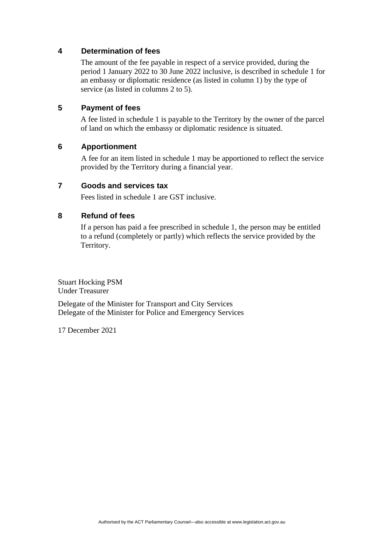# **4 Determination of fees**

The amount of the fee payable in respect of a service provided, during the period 1 January 2022 to 30 June 2022 inclusive, is described in schedule 1 for an embassy or diplomatic residence (as listed in column 1) by the type of service (as listed in columns 2 to 5).

# **5 Payment of fees**

A fee listed in schedule 1 is payable to the Territory by the owner of the parcel of land on which the embassy or diplomatic residence is situated.

## **6 Apportionment**

A fee for an item listed in schedule 1 may be apportioned to reflect the service provided by the Territory during a financial year.

## **7 Goods and services tax**

Fees listed in schedule 1 are GST inclusive.

## **8 Refund of fees**

If a person has paid a fee prescribed in schedule 1, the person may be entitled to a refund (completely or partly) which reflects the service provided by the Territory.

Stuart Hocking PSM Under Treasurer

Delegate of the Minister for Transport and City Services Delegate of the Minister for Police and Emergency Services

17 December 2021